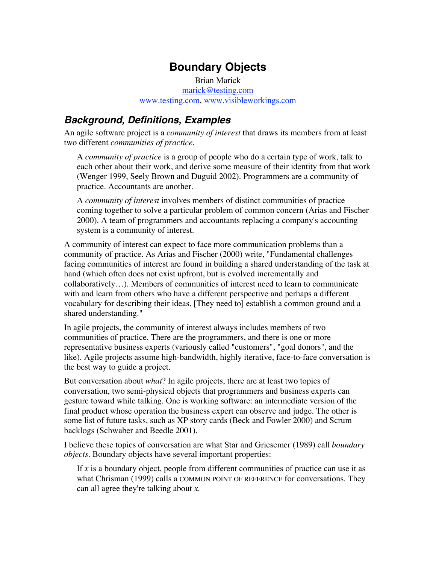# **Boundary Objects**

Brian Marick marick@testing.com www.testing.com, www.visibleworkings.com

### **Background, Definitions, Examples**

An agile software project is a *community of interest* that draws its members from at least two different *communities of practice*.

A *community of practice* is a group of people who do a certain type of work, talk to each other about their work, and derive some measure of their identity from that work (Wenger 1999, Seely Brown and Duguid 2002). Programmers are a community of practice. Accountants are another.

A *community of interest* involves members of distinct communities of practice coming together to solve a particular problem of common concern (Arias and Fischer 2000). A team of programmers and accountants replacing a company's accounting system is a community of interest.

A community of interest can expect to face more communication problems than a community of practice. As Arias and Fischer (2000) write, "Fundamental challenges facing communities of interest are found in building a shared understanding of the task at hand (which often does not exist upfront, but is evolved incrementally and collaboratively…). Members of communities of interest need to learn to communicate with and learn from others who have a different perspective and perhaps a different vocabulary for describing their ideas. [They need to] establish a common ground and a shared understanding."

In agile projects, the community of interest always includes members of two communities of practice. There are the programmers, and there is one or more representative business experts (variously called "customers", "goal donors", and the like). Agile projects assume high-bandwidth, highly iterative, face-to-face conversation is the best way to guide a project.

But conversation about *what*? In agile projects, there are at least two topics of conversation, two semi-physical objects that programmers and business experts can gesture toward while talking. One is working software: an intermediate version of the final product whose operation the business expert can observe and judge. The other is some list of future tasks, such as XP story cards (Beck and Fowler 2000) and Scrum backlogs (Schwaber and Beedle 2001).

I believe these topics of conversation are what Star and Griesemer (1989) call *boundary objects*. Boundary objects have several important properties:

If *x* is a boundary object, people from different communities of practice can use it as what Chrisman (1999) calls a COMMON POINT OF REFERENCE for conversations. They can all agree they're talking about *x*.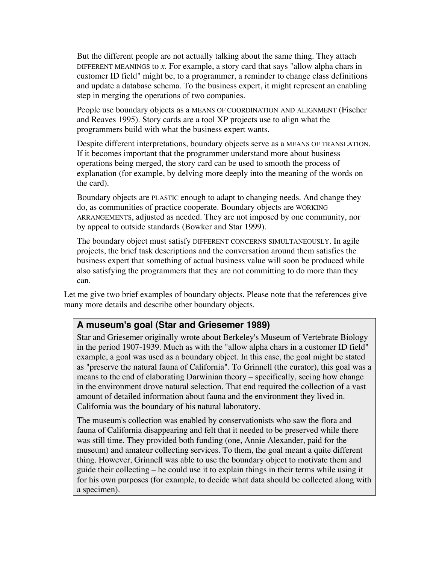But the different people are not actually talking about the same thing. They attach DIFFERENT MEANINGS to *x*. For example, a story card that says "allow alpha chars in customer ID field" might be, to a programmer, a reminder to change class definitions and update a database schema. To the business expert, it might represent an enabling step in merging the operations of two companies.

People use boundary objects as a MEANS OF COORDINATION AND ALIGNMENT (Fischer and Reaves 1995). Story cards are a tool XP projects use to align what the programmers build with what the business expert wants.

Despite different interpretations, boundary objects serve as a MEANS OF TRANSLATION. If it becomes important that the programmer understand more about business operations being merged, the story card can be used to smooth the process of explanation (for example, by delving more deeply into the meaning of the words on the card).

Boundary objects are PLASTIC enough to adapt to changing needs. And change they do, as communities of practice cooperate. Boundary objects are WORKING ARRANGEMENTS, adjusted as needed. They are not imposed by one community, nor by appeal to outside standards (Bowker and Star 1999).

The boundary object must satisfy DIFFERENT CONCERNS SIMULTANEOUSLY. In agile projects, the brief task descriptions and the conversation around them satisfies the business expert that something of actual business value will soon be produced while also satisfying the programmers that they are not committing to do more than they can.

Let me give two brief examples of boundary objects. Please note that the references give many more details and describe other boundary objects.

#### **A museum's goal (Star and Griesemer 1989)**

Star and Griesemer originally wrote about Berkeley's Museum of Vertebrate Biology in the period 1907-1939. Much as with the "allow alpha chars in a customer ID field" example, a goal was used as a boundary object. In this case, the goal might be stated as "preserve the natural fauna of California". To Grinnell (the curator), this goal was a means to the end of elaborating Darwinian theory – specifically, seeing how change in the environment drove natural selection. That end required the collection of a vast amount of detailed information about fauna and the environment they lived in. California was the boundary of his natural laboratory.

The museum's collection was enabled by conservationists who saw the flora and fauna of California disappearing and felt that it needed to be preserved while there was still time. They provided both funding (one, Annie Alexander, paid for the museum) and amateur collecting services. To them, the goal meant a quite different thing. However, Grinnell was able to use the boundary object to motivate them and guide their collecting – he could use it to explain things in their terms while using it for his own purposes (for example, to decide what data should be collected along with a specimen).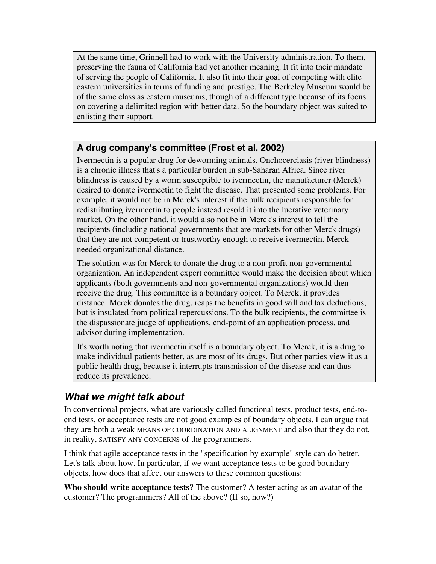At the same time, Grinnell had to work with the University administration. To them, preserving the fauna of California had yet another meaning. It fit into their mandate of serving the people of California. It also fit into their goal of competing with elite eastern universities in terms of funding and prestige. The Berkeley Museum would be of the same class as eastern museums, though of a different type because of its focus on covering a delimited region with better data. So the boundary object was suited to enlisting their support.

#### **A drug company's committee (Frost et al, 2002)**

Ivermectin is a popular drug for deworming animals. Onchocerciasis (river blindness) is a chronic illness that's a particular burden in sub-Saharan Africa. Since river blindness is caused by a worm susceptible to ivermectin, the manufacturer (Merck) desired to donate ivermectin to fight the disease. That presented some problems. For example, it would not be in Merck's interest if the bulk recipients responsible for redistributing ivermectin to people instead resold it into the lucrative veterinary market. On the other hand, it would also not be in Merck's interest to tell the recipients (including national governments that are markets for other Merck drugs) that they are not competent or trustworthy enough to receive ivermectin. Merck needed organizational distance.

The solution was for Merck to donate the drug to a non-profit non-governmental organization. An independent expert committee would make the decision about which applicants (both governments and non-governmental organizations) would then receive the drug. This committee is a boundary object. To Merck, it provides distance: Merck donates the drug, reaps the benefits in good will and tax deductions, but is insulated from political repercussions. To the bulk recipients, the committee is the dispassionate judge of applications, end-point of an application process, and advisor during implementation.

It's worth noting that ivermectin itself is a boundary object. To Merck, it is a drug to make individual patients better, as are most of its drugs. But other parties view it as a public health drug, because it interrupts transmission of the disease and can thus reduce its prevalence.

## **What we might talk about**

In conventional projects, what are variously called functional tests, product tests, end-toend tests, or acceptance tests are not good examples of boundary objects. I can argue that they are both a weak MEANS OF COORDINATION AND ALIGNMENT and also that they do not, in reality, SATISFY ANY CONCERNS of the programmers.

I think that agile acceptance tests in the "specification by example" style can do better. Let's talk about how. In particular, if we want acceptance tests to be good boundary objects, how does that affect our answers to these common questions:

**Who should write acceptance tests?** The customer? A tester acting as an avatar of the customer? The programmers? All of the above? (If so, how?)